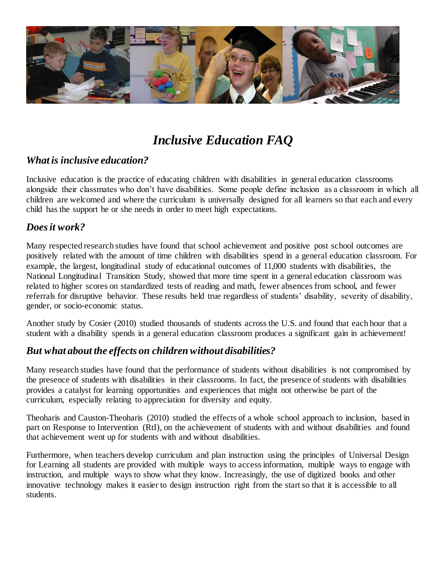

# *Inclusive Education FAQ*

### *What is inclusive education?*

Inclusive education is the practice of educating children with disabilities in general education classrooms alongside their classmates who don't have disabilities. Some people define inclusion as a classroom in which all children are welcomed and where the curriculum is universally designed for all learners so that each and every child has the support he or she needs in order to meet high expectations.

### *Does it work?*

Many respected research studies have found that school achievement and positive post school outcomes are positively related with the amount of time children with disabilities spend in a general education classroom. For example, the largest, longitudinal study of educational outcomes of 11,000 students with disabilities, the National Longitudinal Transition Study, showed that more time spent in a general education classroom was related to higher scores on standardized tests of reading and math, fewer absences from school, and fewer referrals for disruptive behavior. These results held true regardless of students' disability, severity of disability, gender, or socio-economic status.

Another study by Cosier (2010) studied thousands of students across the U.S. and found that each hour that a student with a disability spends in a general education classroom produces a significant gain in achievement!

### *But what about the effects on children without disabilities?*

Many research studies have found that the performance of students without disabilities is not compromised by the presence of students with disabilities in their classrooms. In fact, the presence of students with disabilities provides a catalyst for learning opportunities and experiences that might not otherwise be part of the curriculum, especially relating to appreciation for diversity and equity.

Theoharis and Causton-Theoharis (2010) studied the effects of a whole school approach to inclusion, based in part on Response to Intervention (RtI), on the achievement of students with and without disabilities and found that achievement went up for students with and without disabilities.

Furthermore, when teachers develop curriculum and plan instruction using the principles of Universal Design for Learning all students are provided with multiple ways to access information, multiple ways to engage with instruction, and multiple ways to show what they know. Increasingly, the use of digitized books and other innovative technology makes it easier to design instruction right from the start so that it is accessible to all students.